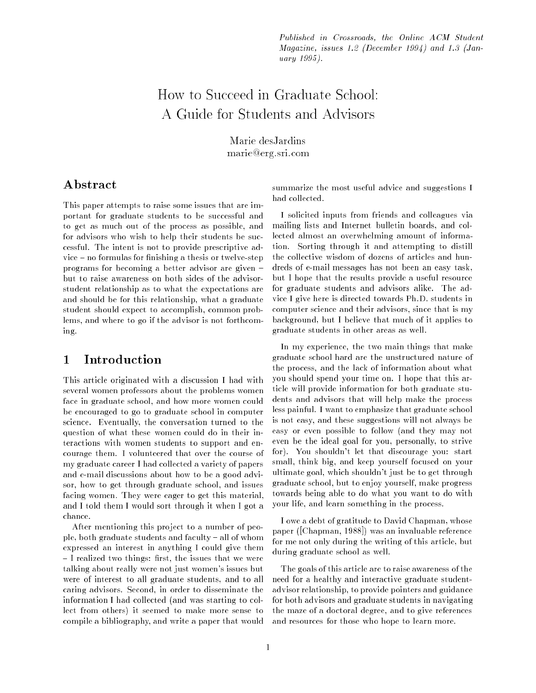Published in Crossroads, the Online ACM Student Magazine, issues 1.2 (December 1994) and 1.3 (January 1995).

# How to Succeed in Graduate School: A Guide for Students and Advisors

Marie desJardins marie@erg.sri.com

## **A** bstract

This paper attempts to raise some issues that are important for graduate students to be successful and to get as much out of the process as possible, and for advisors who wish to help their students be successful. The intent is not to provide prescriptive ad $vice - no formulas for finishing a thesis or twelve-step$ programs for becoming a better advisor are given  $=$ but to raise awareness on both sides of the advisorstudent relationship as to what the expectations are and should be for this relationship, what a graduate student should expect to accomplish, common probstudent should expect to accomplish, common problems, and where to go if the advisor is not forthcoming.

## $\mathbf{1}$

This article originated with a discussion I had with several women professors about the problems women face in graduate school, and how more women could be encouraged to go to graduate school in computer science. Eventually, the conversation turned to the question of what these women could do in their interactions with women students to support and encourage them. I volunteered that over the course of my graduate career I had collected a variety of papers and e-mail discussions about how to be a good advisor, how to get through graduate school, and issues facing women. They were eager to get this material, and I told them I would sort through it when I got a chance.

After mentioning this project to a number of people, both graduate students and faculty { all of whom expressed an interest in anything I could give them - I realized two things: first, the issues that we were talking about really were not just women's issues but were of interest to all graduate students, and to all caring advisors. Second, in order to disseminate the information I had collected (and was starting to collect from others) it seemed to make more sense to compile a bibliography, and write a paper that would

summarize the most useful advice and suggestions I had collected.

I solicited inputs from friends and colleagues via mailing lists and Internet bulletin boards, and collected almost an overwhelming amount of information. Sorting through it and attempting to distill the collective wisdom of dozens of articles and hundreds of e-mail messages has not been an easy task, but I hope that the results provide a useful resource for graduate students and advisors alike. The advice I give here is directed towards Ph.D. students in computer science and their advisors, since that is my background, but I believe that much of it applies to graduate students in other areas as well.

In my experience, the two main things that make graduate school hard are the unstructured nature of the process, and the lack of information about what you should spend your time on. I hope that this article will provide information for both graduate students and advisors that will help make the process less painful. I want to emphasize that graduate school is not easy, and these suggestions will not always be easy or even possible to follow (and they may not even be the ideal goal for you, personally, to strive for). You shouldn't let that discourage you: start small, think big, and keep yourself focused on your ultimate goal, which shouldn't just be to get through graduate school, but to enjoy yourself, make progress towards being able to do what you want to do with your life, and learn something in the process.

I owe a debt of gratitude to David Chapman, whose paper ([Chapman, 1988]) was an invaluable reference for me not only during the writing of this article, but during graduate school as well.

The goals of this article are to raise awareness of the need for a healthy and interactive graduate studentadvisor relationship, to provide pointers and guidance for both advisors and graduate students in navigating the maze of a doctoral degree, and to give references and resources for those who hope to learn more.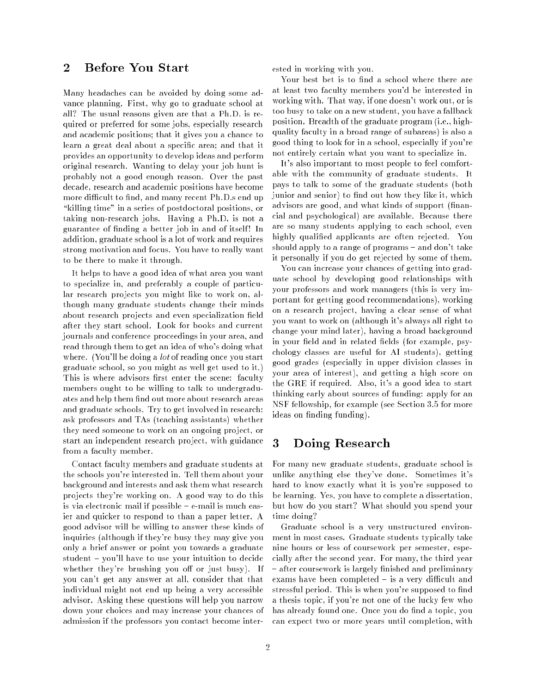## 2 Before You Start

Many headaches can be avoided by doing some advance planning. First, why go to graduate school at all? The usual reasons given are that a Ph.D. is required or preferred for some jobs, especially research and academic positions; that it gives you a chance to learn a great deal about a specific area; and that it provides an opportunity to develop ideas and perform original research. Wanting to delay your job hunt is probably not a good enough reason. Over the past decade, research and academic positions have become more difficult to find, and many recent Ph.D.s end up "killing time" in a series of postdoctoral positions, or taking non-research jobs. Having a Ph.D. is not a guarantee of finding a better job in and of itself! In addition, graduate school is a lot of work and requires strong motivation and focus. You have to really want to be there to make it through.

It helps to have a good idea of what area you want to specialize in, and preferably a couple of particular research projects you might like to work on, although many graduate students change their minds about research projects and even specialization field after they start school. Look for books and current journals and conference proceedings in your area, and read through them to get an idea of who's doing what where. (You'll be doing a *lot* of reading once you start graduate school, so you might as well get used to it.) This is where advisors first enter the scene: faculty members ought to be willing to talk to undergraduates and help them find out more about research areas and graduate schools. Try to get involved in research: ask professors and TAs (teaching assistants) whether they need someone to work on an ongoing project, or start an independent research project, with guidance from a faculty member.

Contact faculty members and graduate students at the schools you're interested in. Tell them about your background and interests and ask them what research projects they're working on. A good way to do this is via electronic mail if possible  $-$  e-mail is much easier and quicker to respond to than a paper letter. A good advisor will be willing to answer these kinds of inquiries (although if they're busy they may give you only a brief answer or point you towards a graduate student - you'll have to use your intuition to decide whether they're brushing you off or just busy). If you can't get any answer at all, consider that that individual might not end up being a very accessible advisor. Asking these questions will help you narrow down your choices and may increase your chances of admission if the professors you contact become interested in working with you.

Your best bet is to find a school where there are at least two faculty members you'd be interested in working with. That way, if one doesn't work out, or is too busy to take on a new student, you have a fallback position. Breadth of the graduate program (i.e., highquality faculty in a broad range of subareas) is also a good thing to look for in a school, especially if you're not entirely certain what you want to specialize in.

It's also important to most people to feel comfortable with the community of graduate students. It pays to talk to some of the graduate students (both junior and senior) to find out how they like it, which advisors are good, and what kinds of support (financial and psychological) are available. Because there are so many students applying to each school, even highly qualified applicants are often rejected. You should apply to a range of programs  $=$  and don't take it personally if you do get rejected by some of them.

You can increase your chances of getting into graduate school by developing good relationships with your professors and work managers (this is very important for getting good recommendations), working on a research project, having a clear sense of what you want to work on (although it's always all right to change your mind later), having a broad background in your field and in related fields (for example, psychology classes are useful for AI students), getting good grades (especially in upper division classes in your area of interest), and getting a high score on the GRE if required. Also, it's a good idea to start thinking early about sources of funding: apply for an NSF fellowship, for example (see Section 3.5 for more ideas on finding funding).

## <sup>3</sup> Doing Research

For many new graduate students, graduate school is unlike anything else they've done. Sometimes it's hard to know exactly what it is you're supposed to be learning. Yes, you have to complete a dissertation, but how do you start? What should you spend your time doing?

Graduate school is a very unstructured environment in most cases. Graduate students typically take nine hours or less of coursework per semester, especially after the second year. For many, the third year - after coursework is largely finished and preliminary exams have been completed  $-$  is a very difficult and stressful period. This is when you're supposed to find a thesis topic, if you're not one of the lucky few who has already found one. Once you do find a topic, you can expect two or more years until completion, with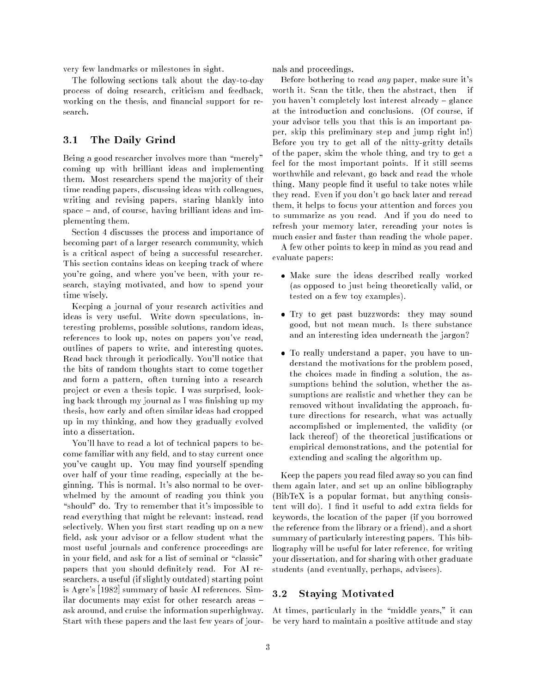very few landmarks or milestones in sight.

The following sections talk about the day-to-day process of doing research, criticism and feedback, working on the thesis, and financial support for research.

## 3.1 The Daily Grind

Being a good researcher involves more than "merely" coming up with brilliant ideas and implementing them. Most researchers spend the majority of their time reading papers, discussing ideas with colleagues, writing and revising papers, staring blankly into  $space =$  and, of course, having brilliant ideas and implementing them.

Section 4 discusses the process and importance of becoming part of a larger research community, which is a critical aspect of being a successful researcher. This section contains ideas on keeping track of where you're going, and where you've been, with your research, staying motivated, and how to spend your time wisely.

Keeping a journal of your research activities and ideas is very useful. Write down speculations, interesting problems, possible solutions, random ideas, references to look up, notes on papers you've read, outlines of papers to write, and interesting quotes. Read back through it periodically. You'll notice that the bits of random thoughts start to come together and form a pattern, often turning into a research project or even a thesis topic. I was surprised, looking back through my journal as I was finishing up my thesis, how early and often similar ideas had cropped up in my thinking, and how they gradually evolved into a dissertation.

You'll have to read a lot of technical papers to become familiar with any field, and to stay current once you've caught up. You may find yourself spending over half of your time reading, especially at the beginning. This is normal. It's also normal to be overwhelmed by the amount of reading you think you "should" do. Try to remember that it's impossible to read everything that might be relevant: instead, read selectively. When you first start reading up on a new field, ask your advisor or a fellow student what the most useful journals and conference proceedings are in your field, and ask for a list of seminal or "classic" papers that you should definitely read. For AI researchers, a useful (if slightly outdated) starting point is Agre's [1982] summary of basic AI references. Similar documents may exist for other research areas  $$ ask around, and cruise the information superhighway. Start with these papers and the last few years of journals and proceedings.

Before bothering to read any paper, make sure it's worth it. Scan the title, then the abstract, then  $-$  if you haven't completely lost interest already - glance at the introduction and conclusions. (Of course, if your advisor tells you that this is an important paper, skip this preliminary step and jump right in!) Before you try to get all of the nitty-gritty details of the paper, skim the whole thing, and try to get a feel for the most important points. If it still seems worthwhile and relevant, go back and read the whole thing. Many people find it useful to take notes while they read. Even if you don't go back later and reread them, it helps to focus your attention and forces you to summarize as you read. And if you do need to refresh your memory later, rereading your notes is much easier and faster than reading the whole paper.

A few other points to keep in mind as you read and evaluate papers:

- Make sure the ideas described really worked (as opposed to just being theoretically valid, or tested on a few toy examples).
- Try to get past buzzwords: they may sound good, but not mean much. Is there substance and an interesting idea underneath the jargon?
- To really understand a paper, you have to understand the motivations for the problem posed, the choices made in finding a solution, the assumptions behind the solution, whether the assumptions are realistic and whether they can be removed without invalidating the approach, future directions for research, what was actually accomplished or implemented, the validity (or lack thereof) of the theoretical justifications or empirical demonstrations, and the potential for extending and scaling the algorithm up.

Keep the papers you read filed away so you can find them again later, and set up an online bibliography (BibTeX is a popular format, but anything consistent will do). I find it useful to add extra fields for keywords, the location of the paper (if you borrowed the reference from the library or a friend), and a short summary of particularly interesting papers. This bibliography will be useful for later reference, for writing your dissertation, and for sharing with other graduate students (and eventually, perhaps, advisees).

### 3.2 Staying Motivated

At times, particularly in the "middle years," it can be very hard to maintain a positive attitude and stay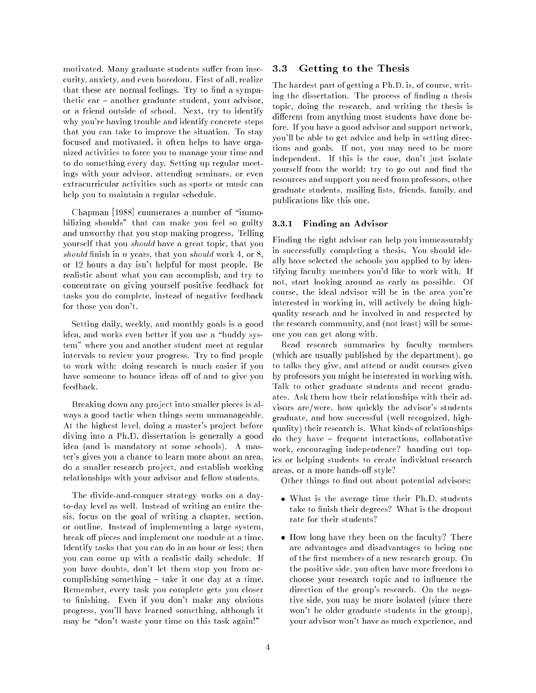motivated. Many graduate students suffer from insecurity, anxiety, and even boredom. First of all, realize that these are normal feelings. Try to find a sympathetic ear - another graduate student, your advisor, or a friend outside of school. Next, try to identify why you're having trouble and identify concrete steps that you can take to improve the situation. To stay focused and motivated, it often helps to have organized activities to force you to manage your time and to do something every day. Setting up regular meetings with your advisor, attending seminars, or even extracurricular activities such as sports or music can help you to maintain a regular schedule.

Chapman [1988] enumerates a number of "immobilizing shoulds" that can make you feel so guilty and unworthy that you stop making progress. Telling yourself that you should have a great topic, that you should finish in n years, that you should work 4, or  $8$ , or 12 hours a day isn't helpful for most people. Be realistic about what you can accomplish, and try to concentrate on giving yourself positive feedback for tasks you do complete, instead of negative feedback for those you don't.

Setting daily, weekly, and monthly goals is a good idea, and works even better if you use a "buddy system" where you and another student meet at regular intervals to review your progress. Try to find people to work with: doing research is much easier if you have someone to bounce ideas off of and to give you feedback.

Breaking down any project into smaller pieces is always a good tactic when things seem unmanageable. At the highest level, doing a master's project before diving into a Ph.D. dissertation is generally a good idea (and is mandatory at some schools). A master's gives you a chance to learn more about an area, do a smaller research project, and establish working relationships with your advisor and fellow students.

The divide-and-conquer strategy works on a dayto-day level as well. Instead of writing an entire thesis, focus on the goal of writing a chapter, section, or outline. Instead of implementing a large system, break off pieces and implement one module at a time. Identify tasks that you can do in an hour or less; then you can come up with a realistic daily schedule. If you have doubts, don't let them stop you from accomplishing something  $-$  take it one day at a time. Remember, every task you complete gets you closer to finishing. Even if you don't make any obvious progress, you'll have learned something, although it may be "don't waste your time on this task again!"

### 3.3 Getting to the Thesis

The hardest part of getting a Ph.D. is, of course, writing the dissertation. The process of nding a thesis topic, doing the research, and writing the thesis is different from anything most students have done before. If you have a good advisor and support network, you'll be able to get advice and help in setting directions and goals. If not, you may need to be more independent. If this is the case, don't just isolate yourself from the world: try to go out and find the resources and support you need from professors, other graduate students, mailing lists, friends, family, and publications like this one.

#### 3.3.1 Finding an Advisor

Finding the right advisor can help you immeasurably in successfully completing a thesis. You should ideally have selected the schools you applied to by identifying faculty members you'd like to work with. If not, start looking around as early as possible. Of course, the ideal advisor will be in the area you're interested in working in, will actively be doing highquality reseach and be involved in and respected by the research community, and (not least) will be someone you can get along with.

Read research summaries by faculty members (which are usually published by the department), go to talks they give, and attend or audit courses given by professors you might be interested in working with. Talk to other graduate students and recent graduates. Ask them how their relationships with their advisors are/were, how quickly the advisor's students graduate, and how successful (well recognized, highquality) their research is. What kinds of relationships do they have { frequent interactions, collaborative work, encouraging independence? handing out topics or helping students to create individual research areas, or a more hands-off style?

Other things to find out about potential advisors:

- when is the average time their Ph.D. students take to finish their degrees? What is the dropout rate for their students?
- How long have they been on the faculty? There are advantages and disadvantages to being one of the first members of a new research group. On the positive side, you often have more freedom to choose your research topic and to influence the direction of the group's research. On the negative side, you may be more isolated (since there won't be older graduate students in the group), your advisor won't have as much experience, and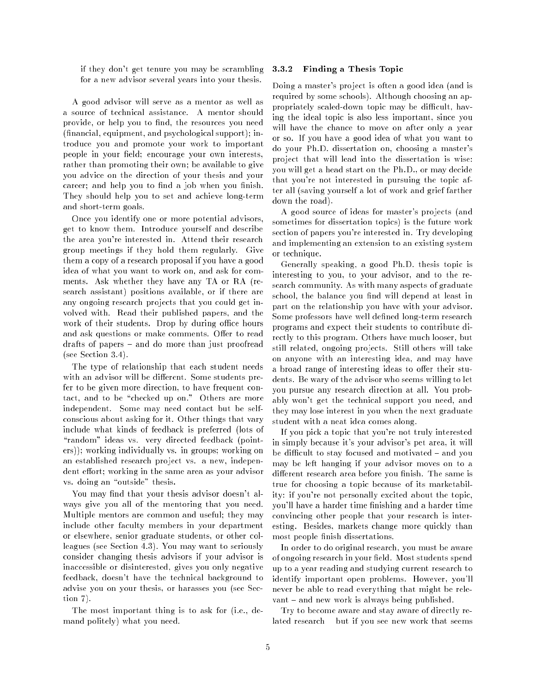if they don't get tenure you may be scrambling for a new advisor several years into your thesis.

A good advisor will serve as a mentor as well as a source of technical assistance. A mentor should provide, or help you to find, the resources you need (nancial, equipment, and psychological support); introduce you and promote your work to important people in your field; encourage your own interests, rather than promoting their own; be available to give you advice on the direction of your thesis and your career; and help you to find a job when you finish. They should help you to set and achieve long-term and short-term goals.

Once you identify one or more potential advisors, get to know them. Introduce yourself and describe the area you're interested in. Attend their research group meetings if they hold them regularly. Give them a copy of a research proposal if you have a good idea of what you want to work on, and ask for comments. Ask whether they have any TA or RA (research assistant) positions available, or if there are any ongoing research projects that you could get involved with. Read their published papers, and the work of their students. Drop by during office hours and ask questions or make comments. Offer to read drafts of papers - and do more than just proofread (see Section 3.4).

The type of relationship that each student needs with an advisor will be different. Some students prefer to be given more direction, to have frequent contact, and to be "checked up on." Others are more independent. Some may need contact but be selfconscious about asking for it. Other things that vary include what kinds of feedback is preferred (lots of "random" ideas vs. very directed feedback (pointers)); working individually vs. in groups; working on an established research project vs. a new, independent effort; working in the same area as your advisor vs. doing an "outside" thesis.

You may find that your thesis advisor doesn't always give you all of the mentoring that you need. Multiple mentors are common and useful; they may include other faculty members in your department or elsewhere, senior graduate students, or other colleagues (see Section 4.3). You may want to seriously consider changing thesis advisors if your advisor is inaccessible or disinterested, gives you only negative feedback, doesn't have the technical background to advise you on your thesis, or harasses you (see Section 7).

The most important thing is to ask for (i.e., demand politely) what you need.

#### 3.3.2 Finding a Thesis Topic

Doing a master's project is often a good idea (and is required by some schools). Although choosing an appropriately scaled-down topic may be difficult, having the ideal topic is also less important, since you will have the chance to move on after only a year or so. If you have a good idea of what you want to do your Ph.D. dissertation on, choosing a master's project that will lead into the dissertation is wise: you will get a head start on the Ph.D., or may decide that you're not interested in pursuing the topic after all (saving yourself a lot of work and grief farther down the road).

A good source of ideas for master's projects (and sometimes for dissertation topics) is the future work section of papers you're interested in. Try developing and implementing an extension to an existing system or technique.

Generally speaking, a good Ph.D. thesis topic is interesting to you, to your advisor, and to the research community. As with many aspects of graduate school, the balance you find will depend at least in part on the relationship you have with your advisor. Some professors have well defined long-term research programs and expect their students to contribute directly to this program. Others have much looser, but still related, ongoing projects. Still others will take on anyone with an interesting idea, and may have a broad range of interesting ideas to offer their students. Be wary of the advisor who seems willing to let you pursue any research direction at all. You probably won't get the technical support you need, and they may lose interest in you when the next graduate student with a neat idea comes along.

If you pick a topic that you're not truly interested in simply because it's your advisor's pet area, it will be difficult to stay focused and motivated  $=$  and you may be left hanging if your advisor moves on to a different research area before you finish. The same is true for choosing a topic because of its marketability: if you're not personally excited about the topic, you'll have a harder time finishing and a harder time convincing other people that your research is interesting. Besides, markets change more quickly than most people finish dissertations.

In order to do original research, you must be aware of ongoing research in your field. Most students spend up to a year reading and studying current research to identify important open problems. However, you'll never be able to read everything that might be relevant - and new work is always being published.

Try to become aware and stay aware of directly related research  $-$  but if you see new work that seems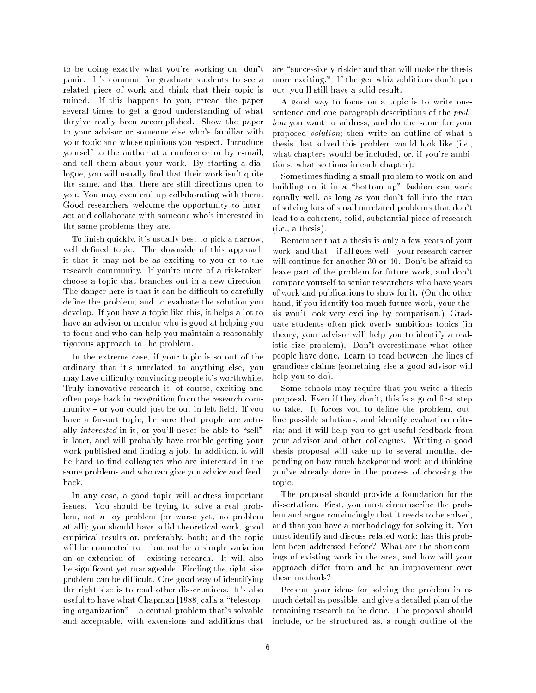to be doing exactly what you're working on, don't panic. It's common for graduate students to see a related piece of work and think that their topic is ruined. If this happens to you, reread the paper several times to get a good understanding of what they've really been accomplished. Show the paper to your advisor or someone else who's familiar with your topic and whose opinions you respect. Introduce yourself to the author at a conference or by e-mail, and tell them about your work. By starting a dialogue, you will usually find that their work isn't quite the same, and that there are still directions open to you. You may even end up collaborating with them. Good researchers welcome the opportunity to interact and collaborate with someone who's interested in the same problems they are.

To finish quickly, it's usually best to pick a narrow, well defined topic. The downside of this approach is that it may not be as exciting to you or to the research community. If you're more of a risk-taker, choose a topic that branches out in a new direction. The danger here is that it can be difficult to carefully define the problem, and to evaluate the solution you develop. If you have a topic like this, it helps a lot to have an advisor or mentor who is good at helping you to focus and who can help you maintain a reasonably rigorous approach to the problem.

In the extreme case, if your topic is so out of the ordinary that it's unrelated to anything else, you may have difficulty convincing people it's worthwhile. Truly innovative research is, of course, exciting and often pays back in recognition from the research com $munity - or you could just be out in left field. If you$ have a far-out topic, be sure that people are actually *interested* in it, or you'll never be able to "sell" it later, and will probably have trouble getting your work published and finding a job. In addition, it will be hard to find colleagues who are interested in the same problems and who can give you advice and feedback.

In any case, a good topic will address important issues. You should be trying to solve a real problem, not a toy problem (or worse yet, no problem at all); you should have solid theoretical work, good empirical results or, preferably, both; and the topic will be connected to  $-$  but not be a simple variation on or extension of - existing research. It will also be signicant yet manageable. Finding the right size problem can be difficult. One good way of identifying the right size is to read other dissertations. It's also useful to have what Chapman [1988] calls a "telescoping organization"  $-$  a central problem that's solvable and acceptable, with extensions and additions that

are "successively riskier and that will make the thesis more exciting." If the gee-whiz additions don't pan out, you'll still have a solid result.

A good way to focus on a topic is to write onesentence and one-paragraph descriptions of the problem you want to address, and do the same for your proposed solution; then write an outline of what a thesis that solved this problem would look like (i.e., what chapters would be included, or, if you're ambitious, what sections in each chapter).

Sometimes finding a small problem to work on and building on it in a "bottom up" fashion can work equally well, as long as you don't fall into the trap of solving lots of small unrelated problems that don't lead to a coherent, solid, substantial piece of research (i.e., a thesis).

Remember that a thesis is only a few years of your work, and that  $-$  if all goes well  $-$  your research career will continue for another 30 or 40. Don't be afraid to leave part of the problem for future work, and don't compare yourself to senior researchers who have years of work and publications to show for it. (On the other hand, if you identify too much future work, your thesis won't look very exciting by comparison.) Graduate students often pick overly ambitious topics (in theory, your advisor will help you to identify a realistic size problem). Don't overestimate what other people have done. Learn to read between the lines of grandiose claims (something else a good advisor will help you to do).

Some schools may require that you write a thesis proposal. Even if they don't, this is a good first step to take. It forces you to define the problem, outline possible solutions, and identify evaluation criteria; and it will help you to get useful feedback from your advisor and other colleagues. Writing a good thesis proposal will take up to several months, depending on how much background work and thinking you've already done in the process of choosing the topic.

The proposal should provide a foundation for the dissertation. First, you must circumscribe the problem and argue convincingly that it needs to be solved, and that you have a methodology for solving it. You must identify and discuss related work: has this problem been addressed before? What are the shortcomings of existing work in the area, and how will your approach differ from and be an improvement over these methods?

Present your ideas for solving the problem in as much detail as possible, and give a detailed plan of the remaining research to be done. The proposal should include, or be structured as, a rough outline of the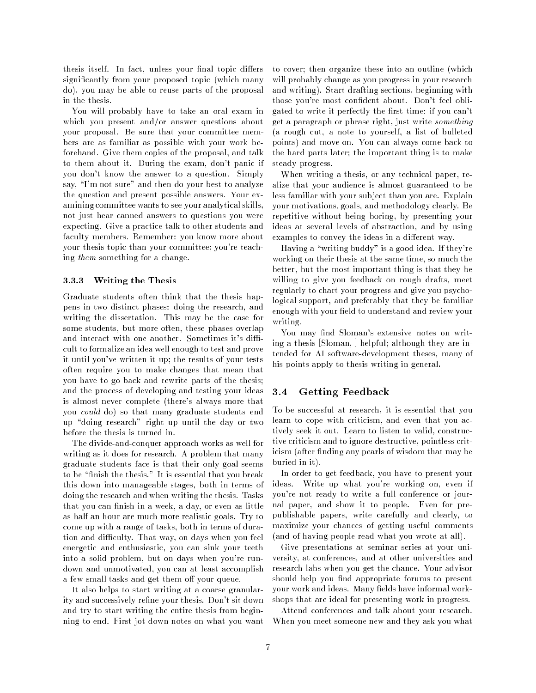thesis itself. In fact, unless your final topic differs signicantly from your proposed topic (which many do), you may be able to reuse parts of the proposal in the thesis.

You will probably have to take an oral exam in which you present and/or answer questions about your proposal. Be sure that your committee members are as familiar as possible with your work beforehand. Give them copies of the proposal, and talk to them about it. During the exam, don't panic if you don't know the answer to a question. Simply say, "I'm not sure" and then do your best to analyze the question and present possible answers. Your examining committee wants to see your analytical skills, not just hear canned answers to questions you were expecting. Give a practice talk to other students and faculty members. Remember: you know more about your thesis topic than your committee; you're teaching them something for a change.

#### 3.3.3 Writing the Thesis

Graduate students often think that the thesis happens in two distinct phases: doing the research, and writing the dissertation. This may be the case for some students, but more often, these phases overlap and interact with one another. Sometimes it's difficult to formalize an idea well enough to test and prove it until you've written it up; the results of your tests often require you to make changes that mean that you have to go back and rewrite parts of the thesis; and the process of developing and testing your ideas is almost never complete (there's always more that you could do) so that many graduate students end up "doing research" right up until the day or two before the thesis is turned in.

The divide-and-conquer approach works as well for writing as it does for research. A problem that many graduate students face is that their only goal seems to be "finish the thesis." It is essential that you break this down into manageable stages, both in terms of doing the research and when writing the thesis. Tasks that you can finish in a week, a day, or even as little as half an hour are much more realistic goals. Try to come up with a range of tasks, both in terms of duration and difficulty. That way, on days when you feel energetic and enthusiastic, you can sink your teeth into a solid problem, but on days when you're rundown and unmotivated, you can at least accomplish a few small tasks and get them off your queue.

It also helps to start writing at a coarse granularity and successively refine your thesis. Don't sit down and try to start writing the entire thesis from beginning to end. First jot down notes on what you want

to cover; then organize these into an outline (which will probably change as you progress in your research and writing). Start drafting sections, beginning with those you're most condent about. Don't feel obligated to write it perfectly the first time: if you can't get a paragraph or phrase right, just write something (a rough cut, a note to yourself, a list of bulleted points) and move on. You can always come back to the hard parts later; the important thing is to make steady progress.

When writing a thesis, or any technical paper, realize that your audience is almost guaranteed to be less familiar with your subject than you are. Explain your motivations, goals, and methodology clearly. Be repetitive without being boring, by presenting your ideas at several levels of abstraction, and by using examples to convey the ideas in a different way.

Having a "writing buddy" is a good idea. If they're working on their thesis at the same time, so much the better, but the most important thing is that they be willing to give you feedback on rough drafts, meet regularly to chart your progress and give you psychological support, and preferably that they be familiar enough with your field to understand and review your writing.

You may find Sloman's extensive notes on writing a thesis [Sloman, ] helpful; although they are intended for AI software-development theses, many of his points apply to thesis writing in general.

### 3.4 Getting Feedback

To be successful at research, it is essential that you learn to cope with criticism, and even that you actively seek it out. Learn to listen to valid, constructive criticism and to ignore destructive, pointless criticism (after finding any pearls of wisdom that may be buried in it).

In order to get feedback, you have to present your ideas. Write up what you're working on, even if you're not ready to write a full conference or journal paper, and show it to people. Even for prepublishable papers, write carefully and clearly, to maximize your chances of getting useful comments (and of having people read what you wrote at all).

Give presentations at seminar series at your university, at conferences, and at other universities and research labs when you get the chance. Your advisor should help you find appropriate forums to present your work and ideas. Many fields have informal workshops that are ideal for presenting work in progress.

Attend conferences and talk about your research. When you meet someone new and they ask you what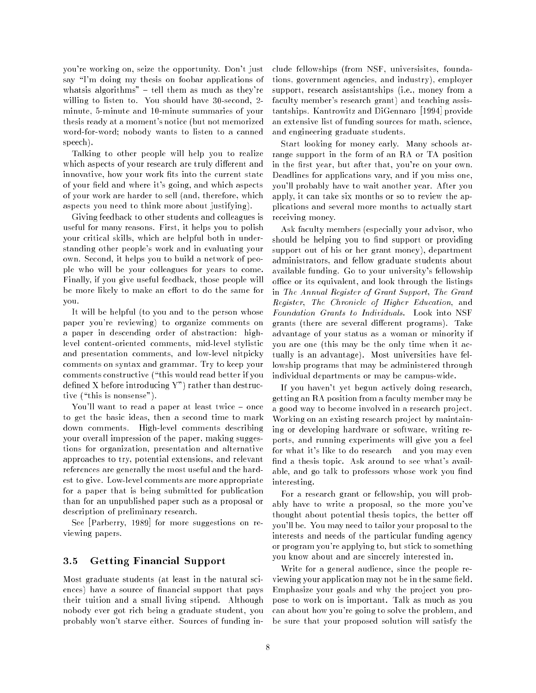you're working on, seize the opportunity. Don't just say "I'm doing my thesis on foobar applications of whatsis algorithms"  $-$  tell them as much as they're willing to listen to. You should have 30-second, 2 minute, 5-minute and 10-minute summaries of your thesis ready at a moment's notice (but not memorized word-for-word; nobody wants to listen to a canned speech).

Talking to other people will help you to realize which aspects of your research are truly different and innovative, how your work fits into the current state of your field and where it's going, and which aspects of your work are harder to sell (and, therefore, which aspects you need to think more about justifying).

Giving feedback to other students and colleagues is useful for many reasons. First, it helps you to polish your critical skills, which are helpful both in understanding other people's work and in evaluating your own. Second, it helps you to build a network of people who will be your colleagues for years to come. Finally, if you give useful feedback, those people will be more likely to make an effort to do the same for you.

It will be helpful (to you and to the person whose paper you're reviewing) to organize comments on a paper in descending order of abstraction: highlevel content-oriented comments, mid-level stylistic and presentation comments, and low-level nitpicky comments on syntax and grammar. Try to keep your comments constructive ("this would read better if you defined X before introducing  $Y$ ") rather than destructive  $(\text{``this is nonsense''}).$ 

You'll want to read a paper at least twice  $=$  once to get the basic ideas, then a second time to mark down comments. High-level comments describing your overall impression of the paper, making suggestions for organization, presentation and alternative approaches to try, potential extensions, and relevant references are generally the most useful and the hardest to give. Low-level comments are more appropriate for a paper that is being submitted for publication than for an unpublished paper such as a proposal or description of preliminary research.

See [Parberry, 1989] for more suggestions on reviewing papers.

### 3.5 Getting Financial Support

Most graduate students (at least in the natural sciences) have a source of financial support that pays their tuition and a small living stipend. Although nobody ever got rich being a graduate student, you probably won't starve either. Sources of funding include fellowships (from NSF, universisites, foundations, government agencies, and industry), employer support, research assistantships (i.e., money from a faculty member's research grant) and teaching assistantships. Kantrowitz and DiGennaro [1994] provide an extensive list of funding sources for math, science, and engineering graduate students.

Start looking for money early. Many schools arrange support in the form of an RA or TA position in the first year, but after that, you're on your own. Deadlines for applications vary, and if you miss one, you'll probably have to wait another year. After you apply, it can take six months or so to review the applications and several more months to actually start receiving money.

Ask faculty members (especially your advisor, who should be helping you to find support or providing support out of his or her grant money), department administrators, and fellow graduate students about available funding. Go to your university's fellowship office or its equivalent, and look through the listings in The Annual Register of Grant Support, The Grant Register, The Chronicle of Higher Education, and Foundation Grants to Individuals. Look into NSF grants (there are several different programs). Take advantage of your status as a woman or minority if you are one (this may be the only time when it actually is an advantage). Most universities have fellowship programs that may be administered through individual departments or may be campus-wide.

If you haven't yet begun actively doing research, getting an RA position from a faculty member may be a good way to become involved in a research project. Working on an existing research project by maintaining or developing hardware or software, writing reports, and running experiments will give you a feel for what it's like to do research  $=$  and you may even find a thesis topic. Ask around to see what's available, and go talk to professors whose work you find interesting.

For a research grant or fellowship, you will probably have to write a proposal, so the more you've thought about potential thesis topics, the better o you'll be. You may need to tailor your proposal to the interests and needs of the particular funding agency or program you're applying to, but stick to something you know about and are sincerely interested in.

Write for a general audience, since the people reviewing your application may not be in the same field. Emphasize your goals and why the project you propose to work on is important. Talk as much as you can about how you're going to solve the problem, and be sure that your proposed solution will satisfy the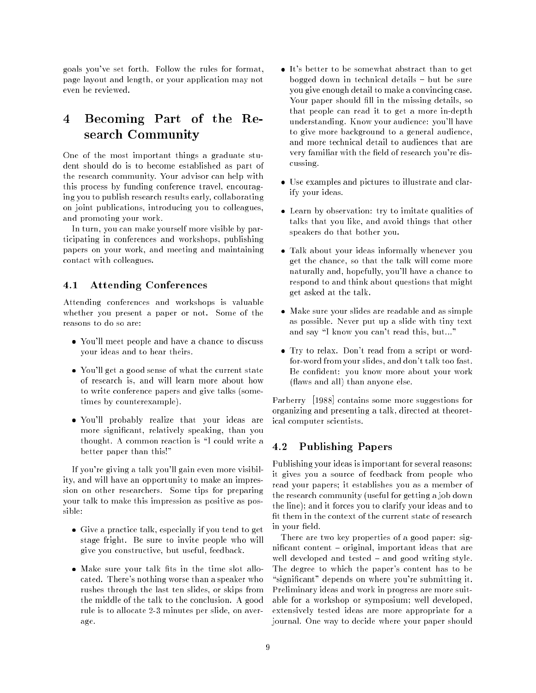goals you've set forth. Follow the rules for format, page layout and length, or your application may not even be reviewed.

# 4 Becoming Part of the Research Community

One of the most important things a graduate student should do is to become established as part of the research community. Your advisor can help with this process by funding conference travel, encouraging you to publish research results early, collaborating on joint publications, introducing you to colleagues, and promoting your work.

In turn, you can make yourself more visible by participating in conferences and workshops, publishing papers on your work, and meeting and maintaining contact with colleagues.

## 4.1 Attending Conferences

Attending conferences and workshops is valuable whether you present a paper or not. Some of the reasons to do so are:

- You'll meet people and have a chance to discuss your ideas and to hear theirs.
- You'll get a good sense of what the current state of research is, and will learn more about how to write conference papers and give talks (sometimes by counterexample).
- You'll probably realize that your ideas are more signicant, relatively speaking, than you thought. A common reaction is \I could write a better paper than this!"

If you're giving a talk you'll gain even more visibility, and will have an opportunity to make an impression on other researchers. Some tips for preparing your talk to make this impression as positive as possible:

- Give a practice talk, especially if you tend to get stage fright. Be sure to invite people who will give you constructive, but useful, feedback.
- make sure your think in the time slow allows and cated. There's nothing worse than a speaker who rushes through the last ten slides, or skips from the middle of the talk to the conclusion. A good rule is to allocate 2-3 minutes per slide, on average.
- It's better to be somewhat abstract than to get bogged down in technical details  $-$  but be sure you give enough detail to make a convincing case. Your paper should fill in the missing details, so that people can read it to get a more in-depth understanding. Know your audience: you'll have to give more background to a general audience, and more technical detail to audiences that are very familiar with the field of research you're discussing.
- Use examples and pictures to illustrate and clarify your ideas.
- Learn by observation: try to imitate qualities of talks that you like, and avoid things that other speakers do that bother you.
- Talk about the state is the state informally whenever your get the chance, so that the talk will come more naturally and, hopefully, you'll have a chance to respond to and think about questions that might get asked at the talk.
- Make sure your slides are readable and as simple as possible. Never put up a slide with tiny text and say "I know you can't read this, but..."
- Try to relax. Don't read from a script or wordfor-word from your slides, and don't talk too fast. Be confident: you know more about your work (flaws and all) than anyone else.

Parberry [1988] contains some more suggestions for organizing and presenting a talk, directed at theoretical computer scientists.

## 4.2 Publishing Papers

Publishing your ideas is important for several reasons: it gives you a source of feedback from people who read your papers; it establishes you as a member of the research community (useful for getting a job down the line); and it forces you to clarify your ideas and to fit them in the context of the current state of research in your field.

There are two key properties of a good paper: significant content - original, important ideas that are well developed and tested - and good writing style. The degree to which the paper's content has to be "significant" depends on where you're submitting it. Preliminary ideas and work in progress are more suitable for a workshop or symposium; well developed, extensively tested ideas are more appropriate for a journal. One way to decide where your paper should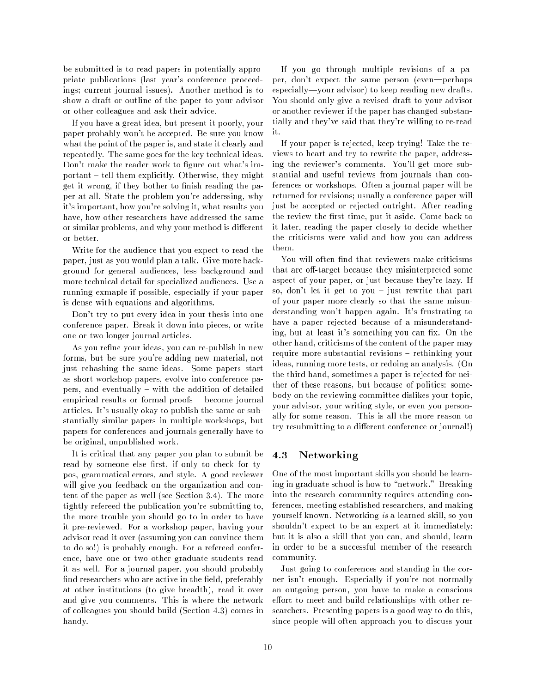be submitted is to read papers in potentially appropriate publications (last year's conference proceedings; current journal issues). Another method is to show a draft or outline of the paper to your advisor or other colleagues and ask their advice.

If you have a great idea, but present it poorly, your paper probably won't be accepted. Be sure you know what the point of the paper is, and state it clearly and repeatedly. The same goes for the key technical ideas. Don't make the reader work to figure out what's important { tell them explicitly. Otherwise, they might get it wrong, if they bother to finish reading the paper at all. State the problem you're adderssing, why it's important, how you're solving it, what results you have, how other researchers have addressed the same or similar problems, and why your method is different or better.

Write for the audience that you expect to read the paper, just as you would plan a talk. Give more background for general audiences, less background and more technical detail for specialized audiences. Use a running exmaple if possible, especially if your paper is dense with equations and algorithms.

Don't try to put every idea in your thesis into one conference paper. Break it down into pieces, or write one or two longer journal articles.

As you refine your ideas, you can re-publish in new forms, but be sure you're adding new material, not just rehashing the same ideas. Some papers start as short workshop papers, evolve into conference papers, and eventually - with the addition of detailed empirical results or formal proofs - become journal articles. It's usually okay to publish the same or substantially similar papers in multiple workshops, but papers for conferences and journals generally have to be original, unpublished work.

It is critical that any paper you plan to submit be read by someone else first, if only to check for typos, grammatical errors, and style. A good reviewer will give you feedback on the organization and content of the paper as well (see Section 3.4). The more tightly refereed the publication you're submitting to, the more trouble you should go to in order to have it pre-reviewed. For a workshop paper, having your advisor read it over (assuming you can convince them to do so!) is probably enough. For a refereed conference, have one or two other graduate students read it as well. For a journal paper, you should probably find researchers who are active in the field, preferably at other institutions (to give breadth), read it over and give you comments. This is where the network of colleagues you should build (Section 4.3) comes in handy.

If you go through multiple revisions of a paper, don't expect the same person (even-perhaps  $e$ specially—your advisor) to keep reading new drafts. You should only give a revised draft to your advisor or another reviewer if the paper has changed substantially and they've said that they're willing to re-read it.

If your paper is rejected, keep trying! Take the reviews to heart and try to rewrite the paper, addressing the reviewer's comments. You'll get more substantial and useful reviews from journals than conferences or workshops. Often a journal paper will be returned for revisions; usually a conference paper will just be accepted or rejected outright. After reading the review the first time, put it aside. Come back to it later, reading the paper closely to decide whether the criticisms were valid and how you can address them.

You will often find that reviewers make criticisms that are off-target because they misinterpreted some aspect of your paper, or just because they're lazy. If so, don't let it get to you - just rewrite that part of your paper more clearly so that the same misunderstanding won't happen again. It's frustrating to have a paper rejected because of a misunderstanding, but at least it's something you can fix. On the other hand, criticisms of the content of the paper may require more substantial revisions - rethinking your ideas, running more tests, or redoing an analysis. (On the third hand, sometimes a paper is rejected for neither of these reasons, but because of politics: somebody on the reviewing committee dislikes your topic, your advisor, your writing style, or even you personally for some reason. This is all the more reason to try resubmitting to a different conference or journal!)

### 4.3 Networking

One of the most important skills you should be learning in graduate school is how to \network." Breaking into the research community requires attending conferences, meeting established researchers, and making yourself known. Networking is a learned skill, so you shouldn't expect to be an expert at it immediately; but it is also a skill that you can, and should, learn in order to be a successful member of the research community.

Just going to conferences and standing in the corner isn't enough. Especially if you're not normally an outgoing person, you have to make a conscious effort to meet and build relationships with other researchers. Presenting papers is a good way to do this, since people will often approach you to discuss your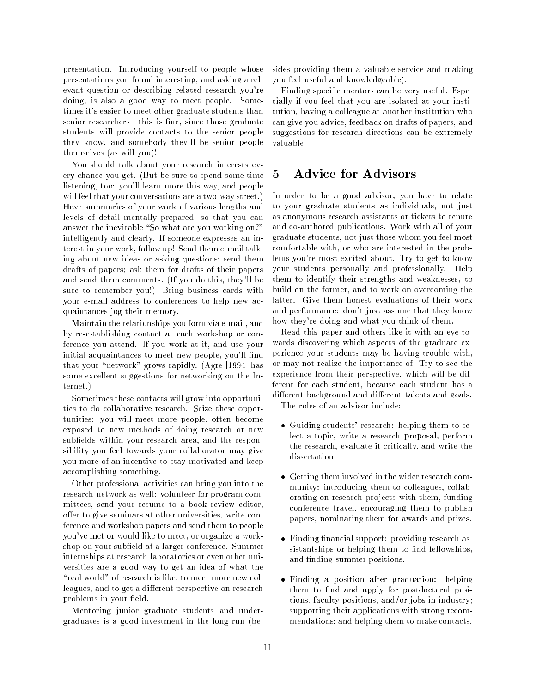presentation. Introducing yourself to people whose presentations you found interesting, and asking a relevant question or describing related research you're doing, is also a good way to meet people. Sometimes it's easier to meet other graduate students than senior researchers—this is fine, since those graduate students will provide contacts to the senior people they know, and somebody they'll be senior people themselves (as will you)!

You should talk about your research interests every chance you get. (But be sure to spend some time listening, too: you'll learn more this way, and people will feel that your conversations are a two-way street.) Have summaries of your work of various lengths and levels of detail mentally prepared, so that you can answer the inevitable "So what are you working on?" intelligently and clearly. If someone expresses an interest in your work, follow up! Send them e-mail talking about new ideas or asking questions; send them drafts of papers; ask them for drafts of their papers and send them comments. (If you do this, they'll be sure to remember you!) Bring business cards with your e-mail address to conferences to help new acquaintances jog their memory.

Maintain the relationships you form via e-mail, and by re-establishing contact at each workshop or conference you attend. If you work at it, and use your initial acquaintances to meet new people, you'll find that your "network" grows rapidly. (Agre [1994] has some excellent suggestions for networking on the Internet.)

Sometimes these contacts will grow into opportunities to do collaborative research. Seize these opportunities: you will meet more people, often become exposed to new methods of doing research or new subfields within your research area, and the responsibility you feel towards your collaborator may give you more of an incentive to stay motivated and keep accomplishing something.

Other professional activities can bring you into the research network as well: volunteer for program committees, send your resume to a book review editor, offer to give seminars at other universities, write conference and workshop papers and send them to people you've met or would like to meet, or organize a workshop on your subfield at a larger conference. Summer internships at research laboratories or even other universities are a good way to get an idea of what the "real world" of research is like, to meet more new colleagues, and to get a different perspective on research problems in your field.

Mentoring junior graduate students and undergraduates is a good investment in the long run (besides providing them a valuable service and making you feel useful and knowledgeable).

Finding specic mentors can be very useful. Especially if you feel that you are isolated at your institution, having a colleague at another institution who can give you advice, feedback on drafts of papers, and suggestions for research directions can be extremely valuable.

## 5 Advice for Advisors

In order to be a good advisor, you have to relate to your graduate students as individuals, not just as anonymous research assistants or tickets to tenure and co-authored publications. Work with all of your graduate students, not just those whom you feel most comfortable with, or who are interested in the problems you're most excited about. Try to get to know your students personally and professionally. Help them to identify their strengths and weaknesses, to build on the former, and to work on overcoming the latter. Give them honest evaluations of their work and performance: don't just assume that they know how they're doing and what you think of them.

Read this paper and others like it with an eye towards discovering which aspects of the graduate experience your students may be having trouble with, or may not realize the importance of. Try to see the experience from their perspective, which will be different for each student, because each student has a different background and different talents and goals.

The roles of an advisor include:

- Guiding students' research: helping them to select a topic, write a research proposal, perform the research, evaluate it critically, and write the dissertation.
- Getting them involved in the wider research community: introducing them to colleagues, collaborating on research projects with them, funding conference travel, encouraging them to publish papers, nominating them for awards and prizes.
- Finding nancial support: providing research assistantships or helping them to find fellowships, and finding summer positions.
- Finding a position after graduation: helping them to find and apply for postdoctoral positions, faculty positions, and/or jobs in industry; supporting their applications with strong recommendations; and helping them to make contacts.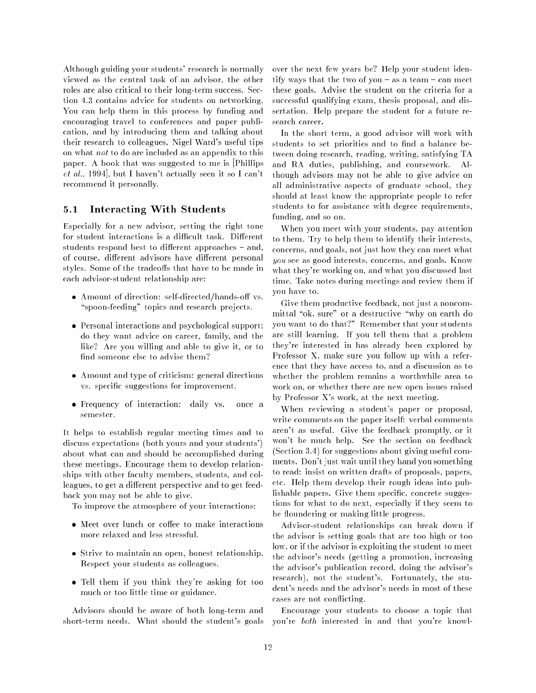Although guiding your students' research is normally viewed as the central task of an advisor, the other roles are also critical to their long-term success. Section 4.3 contains advice for students on networking. You can help them in this process by funding and encouraging travel to conferences and paper publication, and by introducing them and talking about their research to colleagues. Nigel Ward's useful tips on what not to do are included as an appendix to this paper. A book that was suggested to me is [Phillips et al., 1994], but I haven't actually seen it so I can't recommend it personally.

#### 5.1 Interacting With Students

Especially for a new advisor, setting the right tone for student interactions is a difficult task. Different students respond best to different approaches  $=$  and, of course, different advisors have different personal styles. Some of the tradeoffs that have to be made in each advisor-student relationship are:

- Amount of direction: self-directed/hands-o vs. "spoon-feeding" topics and research projects.
- Personal interactions and psychological support: do they want advice on career, family, and the like? Are you willing and able to give it, or to find someone else to advise them?
- Amount and type of criticism: general directions vs. specic suggestions for improvement.
- Frequency of interaction: daily vs. once a semester.

It helps to establish regular meeting times and to discuss expectations (both yours and your students') about what can and should be accomplished during these meetings. Encourage them to develop relationships with other faculty members, students, and colleagues, to get a different perspective and to get feedback you may not be able to give.

To improve the atmosphere of your interactions:

- 
- Strive to maintain an open, honest relationship. Respect your students as colleagues.
- Tell them if you think they're asking for too much or too little time or guidance.

Advisors should be aware of both long-term and short-term needs. What should the student's goals over the next few years be? Help your student identify ways that the two of you  $-$  as a team  $-$  can meet these goals. Advise the student on the criteria for a successful qualifying exam, thesis proposal, and dissertation. Help prepare the student for a future research career.

In the short term, a good advisor will work with students to set priorities and to find a balance between doing research, reading, writing, satisfying TA and RA duties, publishing, and coursework. Although advisors may not be able to give advice on all administrative aspects of graduate school, they should at least know the appropriate people to refer students to for assistance with degree requirements, funding, and so on.

When you meet with your students, pay attention to them. Try to help them to identify their interests, concerns, and goals, not just how they can meet what you see as good interests, concerns, and goals. Know what they're working on, and what you discussed last time. Take notes during meetings and review them if you have to.

Give them productive feedback, not just a noncommittal "ok, sure" or a destructive "why on earth do you want to do that?" Remember that your students are still learning. If you tell them that a problem they're interested in has already been explored by Professor X, make sure you follow up with a reference that they have access to, and a discussion as to whether the problem remains a worthwhile area to work on, or whether there are new open issues raised by Professor X's work, at the next meeting.

When reviewing a student's paper or proposal, write comments on the paper itself: verbal comments aren't as useful. Give the feedback promptly, or it won't be much help. See the section on feedback (Section 3.4) for suggestions about giving useful comments. Don't just wait until they hand you something to read: insist on written drafts of proposals, papers, etc. Help them develop their rough ideas into publishable papers. Give them specific, concrete suggestions for what to do next, especially if they seem to be floundering or making little progress.

Advisor-student relationships can break down if the advisor is setting goals that are too high or too low, or if the advisor is exploiting the student to meet the advisor's needs (getting a promotion, increasing the advisor's publication record, doing the advisor's research), not the student's. Fortunately, the student's needs and the advisor's needs in most of these cases are not conflicting. cases are not con
icting.

Encourage your students to choose a topic that you're both interested in and that you're knowl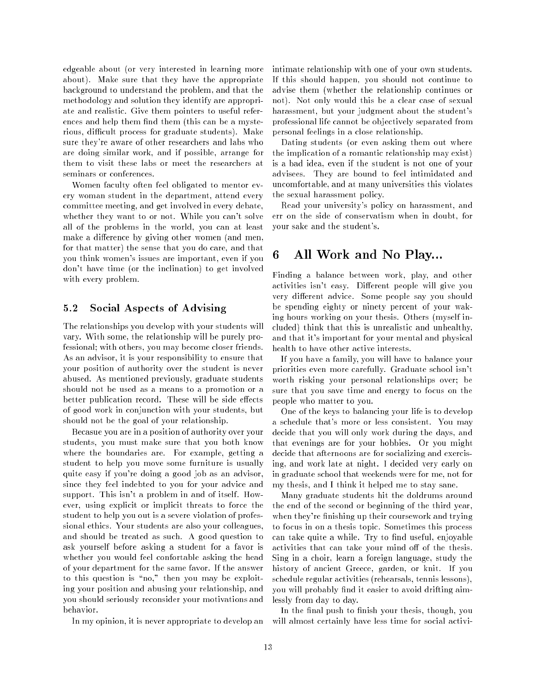edgeable about (or very interested in learning more about). Make sure that they have the appropriate background to understand the problem, and that the methodology and solution they identify are appropriate and realistic. Give them pointers to useful references and help them find them (this can be a mysterious, difficult process for graduate students). Make sure they're aware of other researchers and labs who are doing similar work, and if possible, arrange for them to visit these labs or meet the researchers at seminars or conferences.

Women faculty often feel obligated to mentor every woman student in the department, attend every committee meeting, and get involved in every debate, whether they want to or not. While you can't solve all of the problems in the world, you can at least make a difference by giving other women (and men, for that matter) the sense that you do care, and that you think women's issues are important, even if you don't have time (or the inclination) to get involved with every problem.

## 5.2 Social Aspects of Advising

The relationships you develop with your students will vary. With some, the relationship will be purely professional; with others, you may become closer friends. As an advisor, it is your responsibility to ensure that your position of authority over the student is never abused. As mentioned previously, graduate students should not be used as a means to a promotion or a better publication record. These will be side effects of good work in conjunction with your students, but should not be the goal of your relationship.

Becasue you are in a position of authority over your students, you must make sure that you both know where the boundaries are. For example, getting a student to help you move some furniture is usually quite easy if you're doing a good job as an advisor, since they feel indebted to you for your advice and support. This isn't a problem in and of itself. However, using explicit or implicit threats to force the student to help you out is a severe violation of professional ethics. Your students are also your colleagues, and should be treated as such. A good question to ask yourself before asking a student for a favor is whether you would feel confortable asking the head of your department for the same favor. If the answer to this question is "no," then you may be exploiting your position and abusing your relationship, and you should seriously reconsider your motivations and behavior.

In my opinion, it is never appropriate to develop an

intimate relationship with one of your own students. If this should happen, you should not continue to advise them (whether the relationship continues or not). Not only would this be a clear case of sexual harassment, but your judgment about the student's professional life cannot be objectively separated from personal feelings in a close relationship.

Dating students (or even asking them out where the implication of a romantic relationship may exist) is a bad idea, even if the student is not one of your advisees. They are bound to feel intimidated and uncomfortable, and at many universities this violates the sexual harassment policy.

Read your university's policy on harassment, and err on the side of conservatism when in doubt, for your sake and the student's.

## 6 All Work and No Play...

Finding a balance between work, play, and other activities isn't easy. Different people will give you very different advice. Some people say you should be spending eighty or ninety percent of your waking hours working on your thesis. Others (myself included) think that this is unrealistic and unhealthy, and that it's important for your mental and physical health to have other active interests.

If you have a family, you will have to balance your priorities even more carefully. Graduate school isn't worth risking your personal relationships over; be sure that you save time and energy to focus on the people who matter to you.

One of the keys to balancing your life is to develop a schedule that's more or less consistent. You may decide that you will only work during the days, and that evenings are for your hobbies. Or you might decide that afternoons are for socializing and exercising, and work late at night. I decided very early on in graduate school that weekends were for me, not for my thesis, and I think it helped me to stay sane.

Many graduate students hit the doldrums around the end of the second or beginning of the third year, when they're finishing up their coursework and trying to focus in on a thesis topic. Sometimes this process can take quite a while. Try to find useful, enjoyable activities that can take your mind off of the thesis. Sing in a choir, learn a foreign language, study the history of ancient Greece, garden, or knit. If you schedule regular activities (rehearsals, tennis lessons), you will probably find it easier to avoid drifting aimlessly from day to day.

In the final push to finish your thesis, though, you will almost certainly have less time for social activi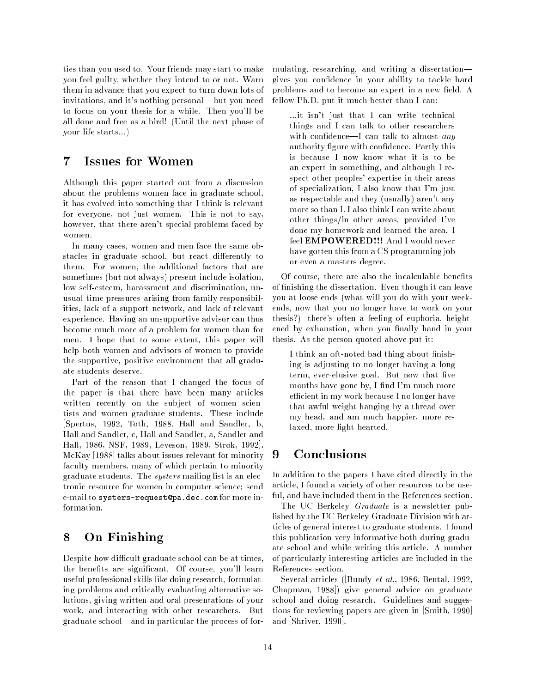ties than you used to. Your friends may start to make you feel guilty, whether they intend to or not. Warn them in advance that you expect to turn down lots of invitations, and it's nothing personal - but you need to focus on your thesis for a while. Then you'll be all done and free as a bird! (Until the next phase of your life starts...)

#### Issues for Women  $\overline{7}$

Although this paper started out from a discussion about the problems women face in graduate school, it has evolved into something that I think is relevant for everyone, not just women. This is not to say, however, that there aren't special problems faced by

In many cases, women and men face the same obstacles in graduate school, but react differently to them. For women, the additional factors that are sometimes (but not always) present include isolation, low self-esteem, harassment and discrimination, unusual time pressures arising from family responsibilities, lack of a support network, and lack of relevant experience. Having an unsupportive advisor can thus become much more of a problem for women than for men. I hope that to some extent, this paper will help both women and advisors of women to provide the supportive, positive environment that all graduate students deserve.

Part of the reason that I changed the focus of the paper is that there have been many articles written recently on the subject of women scientists and women graduate students. These include [Spertus, 1992, Toth, 1988, Hall and Sandler, b, Hall and Sandler, c, Hall and Sandler, a, Sandler and Hall, 1986, NSF, 1989, Leveson, 1989, Strok, 1992]. McKay [1988] talks about issues relevant for minority faculty members, many of which pertain to minority graduate students. The systers mailing list is an electronic resource for women in computer science; send e-mail to systers-request@pa.dec.com for more information.

## 8 On Finishing

Despite how difficult graduate school can be at times, the benefits are significant. Of course, you'll learn useful professional skills like doing research, formulating problems and critically evaluating alternative solutions, giving written and oral presentations of your work, and interacting with other researchers. But graduate school—and in particular the process of formulating, researching, and writing a dissertationgives you condence in your ability to tackle hard problems and to become an expert in a new field. A fellow Ph.D. put it much better than I can:

...it isn't just that I can write technical things and I can talk to other researchers with confidence—I can talk to almost any authority figure with confidence. Partly this is because I now know what it is to be an expert in something, and although I respect other peoples' expertise in their areas of specialization, I also know that I'm just as respectable and they (usually) aren't any more so than I. I also think I can write about other things/in other areas, provided I've done my homework and learned the area. I feel EMPOWERED!!! And I would never have gotten this from a CS programming job or even a masters degree.

Of course, there are also the incalculable benefits of nishing the dissertation. Even though it can leave you at loose ends (what will you do with your weekends, now that you no longer have to work on your thesis?) there's often a feeling of euphoria, heightened by exhaustion, when you finally hand in your thesis. As the person quoted above put it:

I think an oft-noted bad thing about finishing is adjusting to no longer having a long term, ever-elusive goal. But now that five months have gone by, I find I'm much more efficient in my work because I no longer have that awful weight hanging by a thread over my head, and am much happier, more relaxed, more light-hearted.

#### Conclusions 9

In addition to the papers I have cited directly in the article, I found a variety of other resources to be useful, and have included them in the References section.

The UC Berkeley *Graduate* is a newsletter published by the UC Berkeley Graduate Division with articles of general interest to graduate students. I found this publication very informative both during graduate school and while writing this article. A number of particularly interesting articles are included in the References section.

Several articles ([Bundy *et al.*, 1986, Bental, 1992, Chapman, 1988]) give general advice on graduate school and doing research. Guidelines and suggestions for reviewing papers are given in [Smith, 1990] and [Shriver, 1990].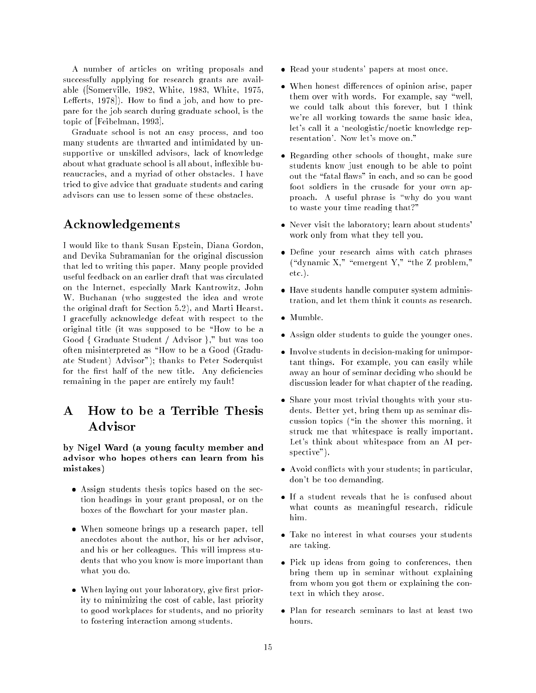A number of articles on writing proposals and successfully applying for research grants are available ([Somerville, 1982, White, 1983, White, 1975, Lefferts,  $1978$ ]). How to find a job, and how to prepare for the job search during graduate school, is the topic of [Feibelman, 1993].

Graduate school is not an easy process, and too many students are thwarted and intimidated by unsupportive or unskilled advisors, lack of knowledge about what graduate school is all about, inflexible bureaucracies, and a myriad of other obstacles. I have tried to give advice that graduate students and caring advisors can use to lessen some of these obstacles.

# Acknowledgements

I would like to thank Susan Epstein, Diana Gordon, and Devika Subramanian for the original discussion that led to writing this paper. Many people provided useful feedback on an earlier draft that was circulated on the Internet, especially Mark Kantrowitz, John W. Buchanan (who suggested the idea and wrote the original draft for Section 5.2), and Marti Hearst. I gracefully acknowledge defeat with respect to the original title (it was supposed to be "How to be a Good { Graduate Student / Advisor }," but was too often misinterpreted as "How to be a Good (Graduate Student) Advisor"); thanks to Peter Soderquist for the first half of the new title. Any deficiencies remaining in the paper are entirely my fault!

#### $\mathbf{A}$ How to be a Terrible Thesis Advisor

#### by Nigel Ward (a young faculty member and advisor who hopes others can learn from his mistakes) mistakes)

- Assign students thesis topics based on the section headings in your grant proposal, or on the boxes of the flowchart for your master plan.
- When someone brings up a research paper, tell anecdotes about the author, his or her advisor, and his or her colleagues. This will impress students that who you know is more important than what you do.
- when the laboratory of the state of the laboratory, in the state of priority to minimizing the cost of cable, last priority to good workplaces for students, and no priority to fostering interaction among students.
- Read your students' papers at most once.
- When honest dierences of opinion arise, paper them over with words. For example, say "well, we could talk about this forever, but I think we're all working towards the same basic idea, let's call it a `neologistic/noetic knowledge representation'. Now let's move on."
- Regarding other schools of thought, make sure students know just enough to be able to point out the "fatal flaws" in each, and so can be good foot soldiers in the crusade for your own approach. A useful phrase is \why do you want to waste your time reading that?"
- Never visit the laboratory; learn about students' work only from what they tell you.
- Dene your research aims with catch phrases ("dynamic X," "emergent Y," "the Z problem," etc.).
- Have students handle computer system administration, and let them think it counts as research.
- 
- Assign older students to guide the younger ones.
- Involve students in decision-making for unimportant things. For example, you can easily while away an hour of seminar deciding who should be discussion leader for what chapter of the reading.
- Share your most trivial thoughts with your students. Better yet, bring them up as seminar discussion topics ("in the shower this morning, it struck me that whitespace is really important. Let's think about whitespace from an AI perspective").
- Avoid con
icts with your students; in particular, don't be too demanding.
- what counts as meaningful research, ridicule
- Take no interest in what courses your students are taking.
- Pick up ideas from going to conferences, then bring them up in seminar without explaining from whom you got them or explaining the context in which they arose.
- hours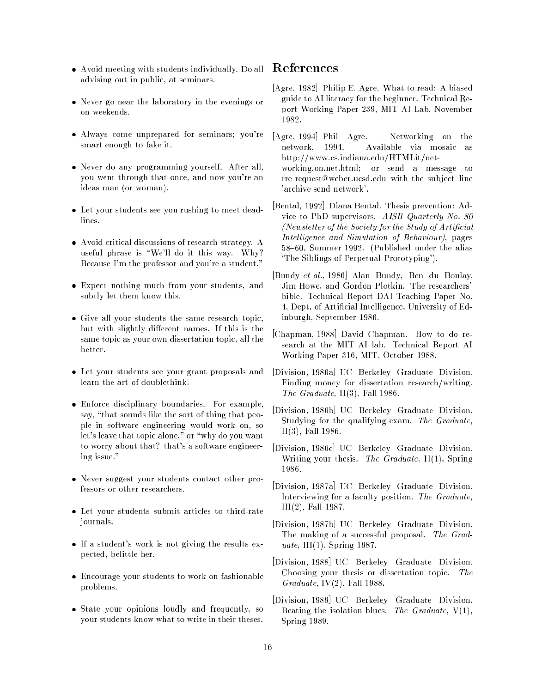- Avoid meeting with students individually. Do all advising out in public, at seminars.
- Never go near the laboratory in the evenings or on weekends.
- Always come unprepared for seminars; you're smart enough to fake it.
- Never do any programming yourself. After all, you went through that once, and now you're an ideas man (or woman).
- Let your students see you rushing to meet deadlines.
- Avoid critical discussions of research strategy. A useful phrase is "We'll do it this way. Why? Because I'm the professor and you're a student."
- Expect nothing much from your students, and subtly let them know this.
- Give all your students the same research topic, but with slightly different names. If this is the same topic as your own dissertation topic, all the better.
- Let your students see your grant proposals and learn the art of doublethink.
- Enforce disciplinary boundaries. For example, say, "that sounds like the sort of thing that people in software engineering would work on, so let's leave that topic alone," or \why do you want to worry about that? that's a software engineering issue."
- Never suggest your students contact other professors or other researchers.
- Let your students submit articles to third-rate journals.
- If a student's work is not giving the results expected, belittle her.
- Encourage your students to work on fashionable problems.
- State your opinions loudly and frequently, so your students know what to write in their theses.

## References

- [Agre, 1982] Philip E. Agre. What to read: A biased guide to AI literacy for the beginner. Technical Report Working Paper 239, MIT AI Lab, November 1982.
- [Agre, 1994] Phil Agre. Networking on the network, 1994. Available via mosaic -as http://www.cs.indiana.edu/HTMLit/networking.on.net.html; or send a message to rre-request@weber.ucsd.edu with the subject line 'archive send network'.
- [Bental, 1992] Diana Bental. Thesis prevention: Advice to PhD supervisors. AISB Quarterly No. <sup>80</sup>  $(Newsletter of the Society for the Study of Artificial)$ Intelligence and Simulation of Behaviour), pages  $58-60$ . Summer 1992. (Published under the alias `The Siblings of Perpetual Prototyping').
- [Bundy et al., 1986] Alan Bundy, Ben du Boulay, Jim Howe, and Gordon Plotkin. The researchers' bible. Technical Report DAI Teaching Paper No. 4, Dept. of Articial Intelligence, University of Edinburgh, September 1986.
- [Chapman, 1988] David Chapman. How to do research at the MIT AI lab. Technical Report AI Working Paper 316, MIT, October 1988.
- [Division, 1986a] UC Berkeley Graduate Division. Finding money for dissertation research/writing. The Graduate,  $II(3)$ , Fall 1986.
- [Division, 1986b] UC Berkeley Graduate Division. Studying for the qualifying exam. The Graduate, II(3), Fall 1986.
- [Division, 1986c] UC Berkeley Graduate Division. Writing your thesis. The Graduate,  $II(1)$ , Spring 1986.
- [Division, 1987a] UC Berkeley Graduate Division. Interviewing for a faculty position. The Graduate, III(2), Fall 1987.
- [Division, 1987b] UC Berkeley Graduate Division. The making of a successful proposal. The Graduate,  $III(1)$ , Spring 1987.
- [Division, 1988] UC Berkeley Graduate Division. Choosing your thesis or dissertation topic. The  $Graduate, IV(2), Fall 1988.$
- [Division, 1989] UC Berkeley Graduate Division. Beating the isolation blues. The Graduate,  $V(1)$ , Spring 1989.